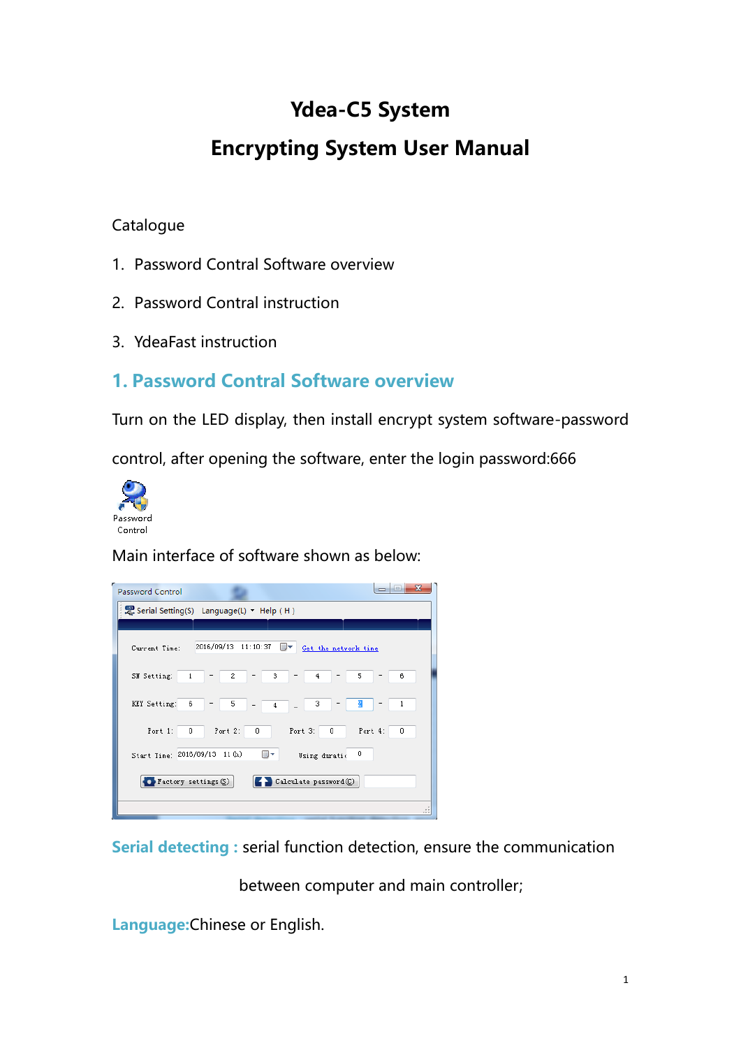# Ydea-C5 System

# Encrypting System User Manual

#### **Catalogue**

- 1. Password Contral Software overview
- 2. Password Contral instruction
- 3. YdeaFast instruction

### **1. Password Contral Software overview**

Turn on the LED display, then install encrypt system software-password

control, after opening the software, enter the login password:666



Main interface of software shown as below:

| Password Control                                          |                                            | $\overline{\mathbf{x}}$  |  |  |
|-----------------------------------------------------------|--------------------------------------------|--------------------------|--|--|
|                                                           | E Serial Setting(S) Language(L) • Help (H) |                          |  |  |
|                                                           |                                            |                          |  |  |
| Current Time:                                             | 2016/09/13 11:10:37<br>▦▼                  | Get the network time     |  |  |
| SN Setting:<br>$\mathbf 1$                                | 3<br>2                                     | $\overline{4}$<br>5<br>6 |  |  |
| KEY Setting:<br>6                                         | 5<br>$\overline{4}$                        | 2<br>3<br>1              |  |  |
| Port 1:<br>0                                              | Port 2:<br>Port 3:<br>0                    | Port 4:<br>0<br>0        |  |  |
| Start Time: 2016/09/13 11 (h)<br>0<br>▦▾<br>Using duratio |                                            |                          |  |  |
| $\bullet$ Factory settings $(\underline{\mathbb{S}})$     |                                            | Calculate password (C)   |  |  |
|                                                           |                                            |                          |  |  |

**Serial detecting :** serial function detection, ensure the communication

between computer and main controller;

**Language:**Chinese or English.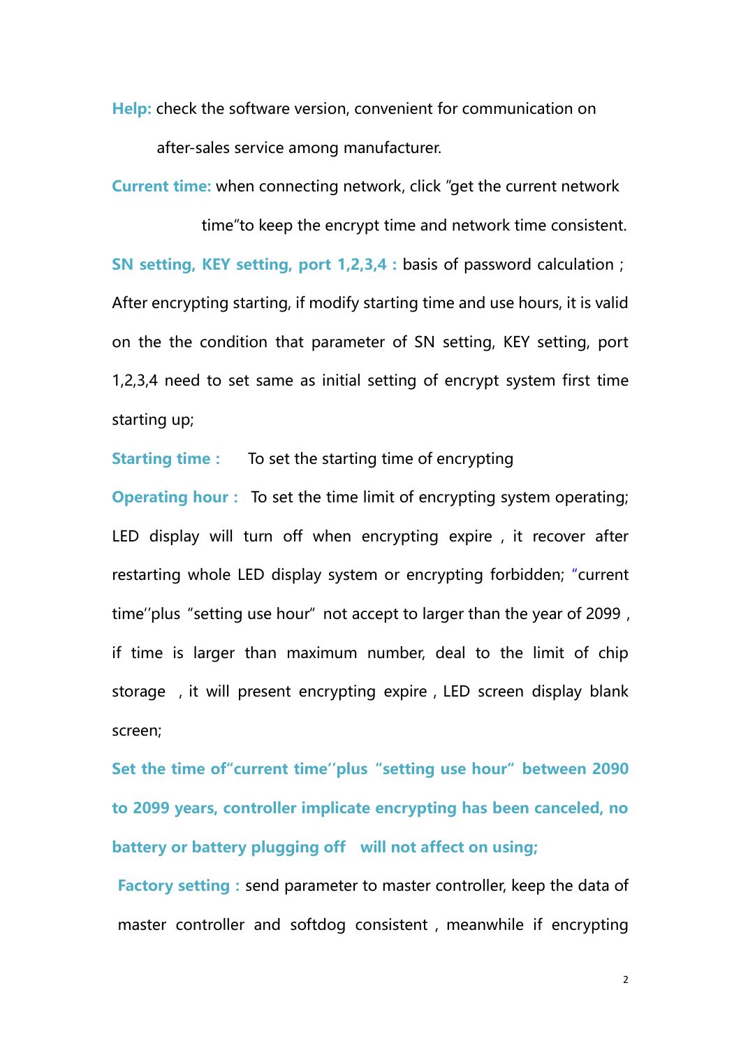**Help:** check the software version, convenient for communication on after-sales service among manufacturer.

**Current time:** when connecting network, click "get the current network

 time"to keep the encrypt time and network time consistent. **SN setting, KEY setting, port 1,2,3,4 :** basis of password calculation; After encrypting starting, if modify starting time and use hours, it is valid on the the condition that parameter of SN setting, KEY setting, port 1,2,3,4 need to set same as initial setting of encrypt system first time starting up;

**Starting time:** To set the starting time of encrypting

**Operating hour**: To set the time limit of encrypting system operating; LED display will turn off when encrypting expire , it recover after restarting whole LED display system or encrypting forbidden; "current time''plus "setting use hour" not accept to larger than the year of 2099, if time is larger than maximum number, deal to the limit of chip storage, it will present encrypting expire, LED screen display blank screen;

**Set the time of"current time''plus "setting use hour" between 2090 to 2099 years, controller implicate encrypting has been canceled, no battery or battery plugging off will not affect on using;**

**Factory setting**: send parameter to master controller, keep the data of master controller and softdog consistent, meanwhile if encrypting

2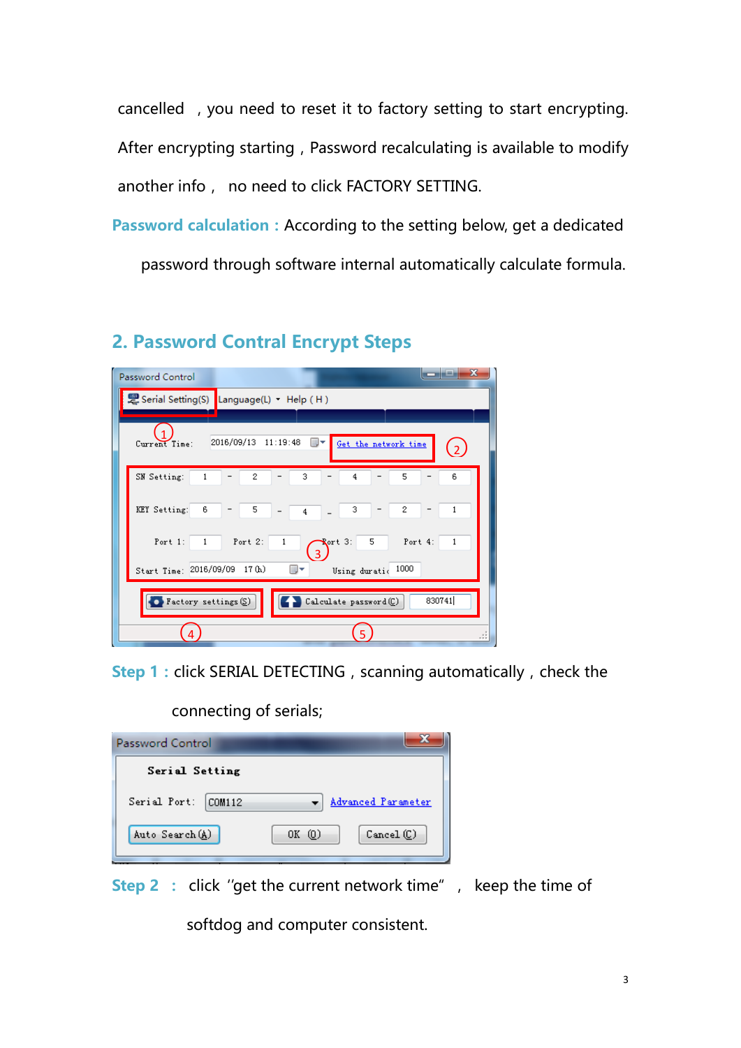cancelled, you need to reset it to factory setting to start encrypting. After encrypting starting, Password recalculating is available to modify another info, no need to click FACTORY SETTING.

**Password calculation:**According to the setting below, get a dedicated password through software internal automatically calculate formula.

### **2. Password Contral Encrypt Steps**

| x<br>Password Control                                                                                                |  |  |  |  |
|----------------------------------------------------------------------------------------------------------------------|--|--|--|--|
| E Serial Setting(S) Language(L) + Help (H)                                                                           |  |  |  |  |
|                                                                                                                      |  |  |  |  |
| 2016/09/13<br>11:19:48<br>■▼<br>Get the network time<br>Current Time:<br>$\overline{2}$                              |  |  |  |  |
| 3<br>SN Setting:<br>5<br>2<br>4<br>6<br>1                                                                            |  |  |  |  |
| KEY Setting:<br>5<br>3<br>6<br>2<br>$\overline{4}$                                                                   |  |  |  |  |
| Port 4:<br>5<br>Port $1$ :<br>Port $2$ :<br>$\sqrt{2}$ art 3:<br>$\mathbf{1}$<br>$\mathbf{1}$<br>1<br>$\overline{3}$ |  |  |  |  |
| 1000<br>Start Time: 2016/09/09<br>17 (h)<br>圓▼<br>Using duratio                                                      |  |  |  |  |
| 830741<br>Calculate password (C)<br>$\bullet$ Factory settings $\S$                                                  |  |  |  |  |
|                                                                                                                      |  |  |  |  |

**Step 1** : click SERIAL DETECTING, scanning automatically, check the

connecting of serials;

| Serial Setting<br>Serial Port:<br>Advanced Parameter<br>COM112<br>۰.<br>Auto Search (A)<br>$OK$ $(0)$<br>$Cancel$ $(C)$ | Password Control |  |
|-------------------------------------------------------------------------------------------------------------------------|------------------|--|
|                                                                                                                         |                  |  |
|                                                                                                                         |                  |  |
|                                                                                                                         |                  |  |

**Step 2** : click "get the current network time", keep the time of

softdog and computer consistent.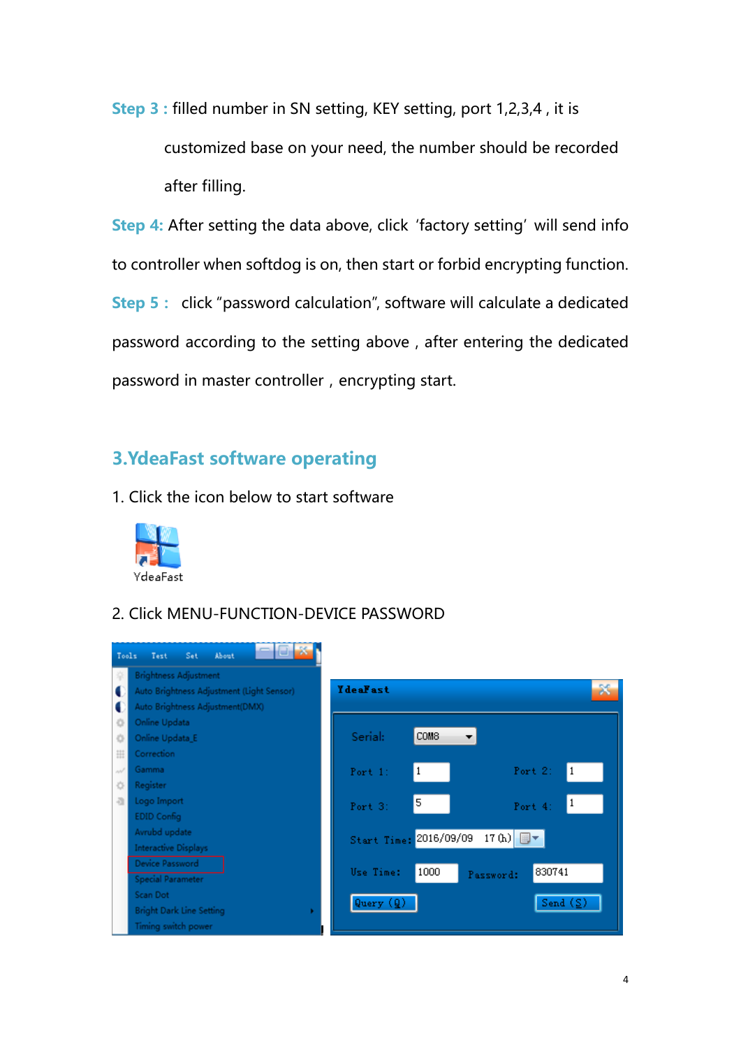**Step 3 :** filled number in SN setting, KEY setting, port 1,2,3,4 , it is customized base on your need, the number should be recorded after filling.

**Step 4:** After setting the data above, click 'factory setting' will send info to controller when softdog is on, then start or forbid encrypting function. **Step 5:** click "password calculation", software will calculate a dedicated password according to the setting above, after entering the dedicated password in master controller, encrypting start.

#### **3.YdeaFast software operating**

1. Click the icon below to start software



2. Click MENU-FUNCTION-DEVICE PASSWORD

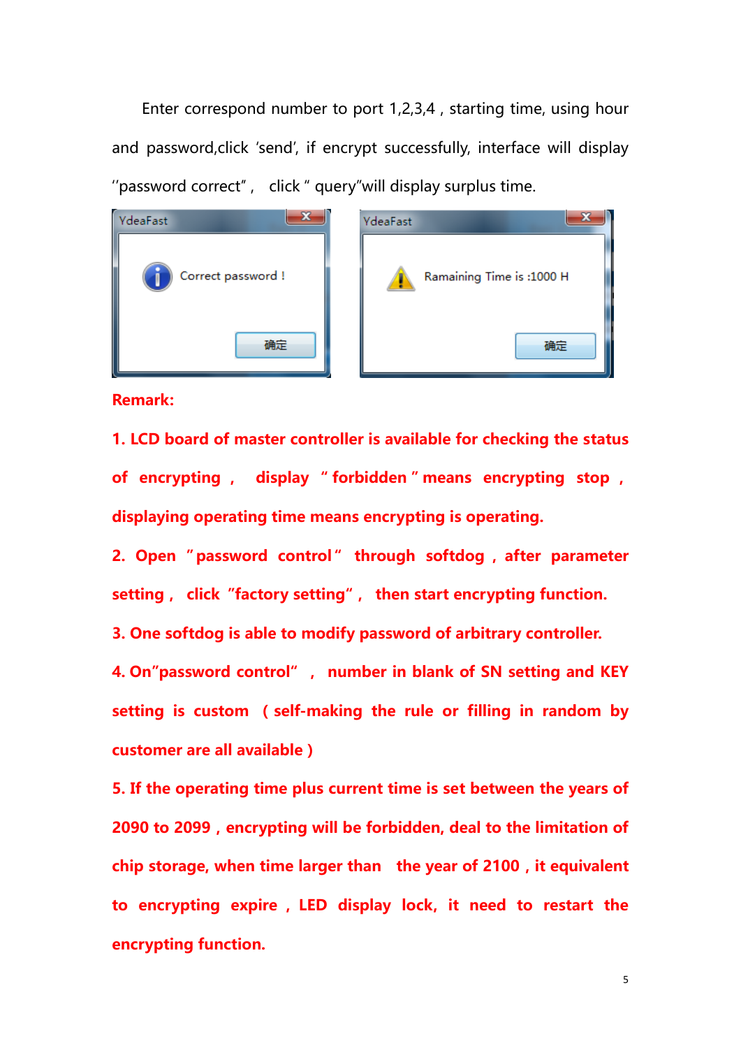Enter correspond number to port 1,2,3,4 , starting time, using hour and password,click 'send', if encrypt successfully, interface will display ''password correct'' , click " query"will display surplus time.





**Remark:** 

**1. LCD board of master controller is available for checking the status of encrypting , display " forbidden " means encrypting stop , displaying operating time means encrypting is operating.**

**2. Open " password control " through softdog , after parameter setting, click "factory setting", then start encrypting function.**

**3. One softdog is able to modify password of arbitrary controller.**

**4. On"password control" , number in blank of SN setting and KEY setting is custom (self-making the rule or filling in random by customer are all available)**

**5. If the operating time plus current time is set between the years of 2090 to 2099,encrypting will be forbidden, deal to the limitation of chip storage, when time larger than the year of 2100,it equivalent to encrypting expire , LED display lock, it need to restart the encrypting function.** 

5